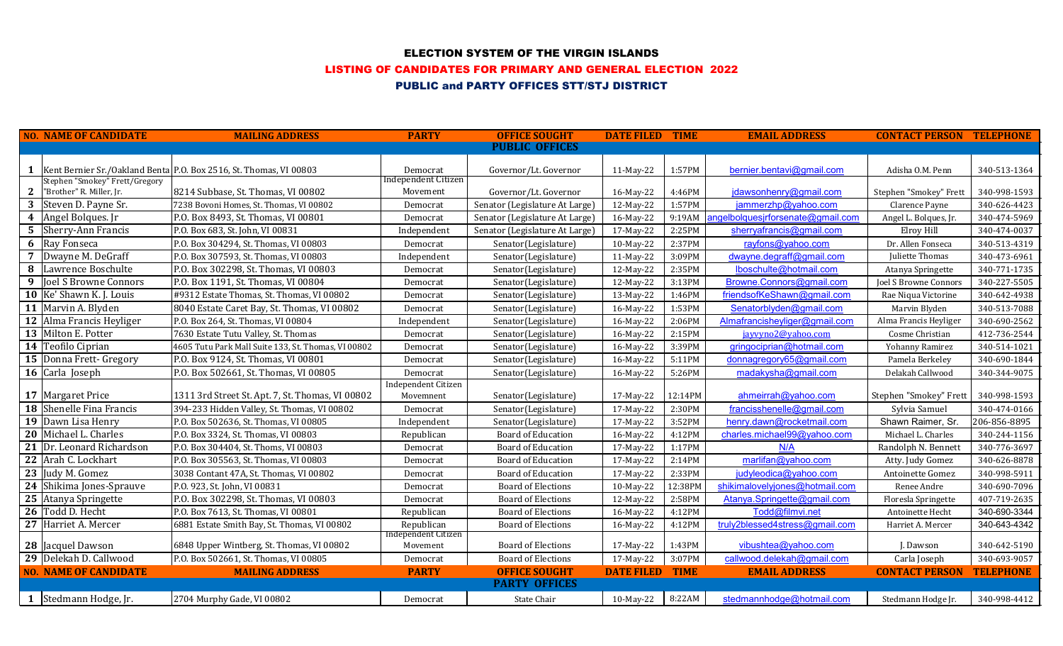### ELECTION SYSTEM OF THE VIRGIN ISLANDS

#### LISTING OF CANDIDATES FOR PRIMARY AND GENERAL ELECTION 2022

# PUBLIC and PARTY OFFICES STT/STJ DISTRICT

|              | <b>NO. NAME OF CANDIDATE</b>    | <b>MAILING ADDRESS</b>                                                   | <b>PARTY</b>                      | <b>OFFICE SOUGHT</b>           | <b>DATE FILED TIME</b> |         | <b>EMAIL ADDRESS</b>              | <b>CONTACT PERSON TELEPHONE</b> |                  |
|--------------|---------------------------------|--------------------------------------------------------------------------|-----------------------------------|--------------------------------|------------------------|---------|-----------------------------------|---------------------------------|------------------|
|              |                                 |                                                                          |                                   | <b>PUBLIC OFFICES</b>          |                        |         |                                   |                                 |                  |
|              |                                 |                                                                          |                                   |                                |                        |         |                                   |                                 |                  |
|              | Stephen "Smokey" Frett/Gregory  | 1   Kent Bernier Sr./Oakland Benta   P.O. Box 2516, St. Thomas, VI 00803 | Democrat<br>Independent Citizen   | Governor/Lt. Governor          | 11-May-22              | 1:57PM  | bernier.bentavi@gmail.com         | Adisha O.M. Penn                | 340-513-1364     |
| $\mathbf{2}$ | "Brother" R. Miller, Jr.        | 8214 Subbase, St. Thomas, VI 00802                                       | Movement                          | Governor/Lt. Governor          | 16-May-22              | 4:46PM  | jdawsonhenry@gmail.com            | Stephen "Smokey" Frett          | 340-998-1593     |
|              | 3 Steven D. Payne Sr.           | 7238 Bovoni Homes, St. Thomas, VI 00802                                  | Democrat                          | Senator (Legislature At Large) | 12-May-22              | 1:57PM  | jammerzhp@yahoo.com               | Clarence Payne                  | 340-626-4423     |
|              | 4 Angel Bolques. Jr             | P.O. Box 8493, St. Thomas, VI 00801                                      | Democrat                          | Senator (Legislature At Large) | 16-May-22              | 9:19AM  | angelbolquesjrforsenate@gmail.com | Angel L. Bolques, Jr.           | 340-474-5969     |
|              | <b>5</b> Sherry-Ann Francis     | P.O. Box 683, St. John, VI 00831                                         | Independent                       | Senator (Legislature At Large) | 17-May-22              | 2:25PM  | sherryafrancis@gmail.com          | Elroy Hill                      | 340-474-0037     |
|              | <b>6</b> Ray Fonseca            | P.O. Box 304294, St. Thomas, VI 00803                                    | Democrat                          | Senator(Legislature)           | 10-May-22              | 2:37PM  | rayfons@yahoo.com                 | Dr. Allen Fonseca               | 340-513-4319     |
|              | 7 Dwayne M. DeGraff             | P.O. Box 307593, St. Thomas, VI 00803                                    | Independent                       | Senator(Legislature)           | 11-May-22              | 3:09PM  | dwayne.degraff@gmail.com          | Juliette Thomas                 | 340-473-6961     |
|              | 8 Lawrence Boschulte            | P.O. Box 302298, St. Thomas, VI 00803                                    | Democrat                          | Senator(Legislature)           | 12-May-22              | 2:35PM  | lboschulte@hotmail.com            | Atanya Springette               | 340-771-1735     |
|              | 9 <b>Joel S Browne Connors</b>  | P.O. Box 1191, St. Thomas, VI 00804                                      | Democrat                          | Senator(Legislature)           | 12-May-22              | 3:13PM  | Browne.Connors@gmail.com          | <b>Joel S Browne Connors</b>    | 340-227-5505     |
|              | <b>10</b> Ke' Shawn K. J. Louis | #9312 Estate Thomas, St. Thomas, VI 00802                                | Democrat                          | Senator(Legislature)           | 13-May-22              | 1:46PM  | friendsofKeShawn@gmail.com        | Rae Niqua Victorine             | 340-642-4938     |
|              | 11 Marvin A. Blyden             | 8040 Estate Caret Bay, St. Thomas, VI 00802                              | Democrat                          | Senator(Legislature)           | 16-May-22              | 1:53PM  | Senatorblyden@gmail.com           | Marvin Blyden                   | 340-513-7088     |
|              | 12 Alma Francis Heyliger        | P.O. Box 264, St. Thomas, VI 00804                                       | Independent                       | Senator(Legislature)           | 16-May-22              | 2:06PM  | Almafrancisheyliger@gmail.com     | Alma Francis Heyliger           | 340-690-2562     |
|              | 13 Milton E. Potter             | 7630 Estate Tutu Valley, St. Thomas                                      | Democrat                          | Senator(Legislature)           | 16-May-22              | 2:15PM  | javvyno2@vahoo.com                | Cosme Christian                 | 412-736-2544     |
|              | 14 Teofilo Ciprian              | 4605 Tutu Park Mall Suite 133, St. Thomas, VI 00802                      | Democrat                          | Senator(Legislature)           | 16-May-22              | 3:39PM  | gringociprian@hotmail.com         | Yohanny Ramirez                 | 340-514-1021     |
|              | 15 Donna Frett- Gregory         | P.O. Box 9124, St. Thomas, VI 00801                                      | Democrat                          | Senator(Legislature)           | 16-May-22              | 5:11PM  | donnagregory65@gmail.com          | Pamela Berkeley                 | 340-690-1844     |
|              | 16 Carla Joseph                 | P.O. Box 502661, St. Thomas, VI 00805                                    | Democrat                          | Senator(Legislature)           | 16-May-22              | 5:26PM  | madakysha@gmail.com               | Delakah Callwood                | 340-344-9075     |
|              |                                 |                                                                          | Independent Citizen               |                                |                        |         |                                   |                                 |                  |
|              | 17 Margaret Price               | 1311 3rd Street St. Apt. 7, St. Thomas, VI 00802                         | Movemnent                         | Senator(Legislature)           | 17-May-22              | 12:14PM | ahmeirrah@yahoo.com               | Stephen "Smokey" Frett          | 340-998-1593     |
|              | <b>18</b> Shenelle Fina Francis | 394-233 Hidden Valley, St. Thomas, VI 00802                              | Democrat                          | Senator(Legislature)           | 17-May-22              | 2:30PM  | francisshenelle@gmail.com         | Sylvia Samuel                   | 340-474-0166     |
|              | 19 Dawn Lisa Henry              | P.O. Box 502636, St. Thomas, VI 00805                                    | Independent                       | Senator(Legislature)           | 17-May-22              | 3:52PM  | henry.dawn@rocketmail.com         | Shawn Raimer, Sr.               | 206-856-8895     |
|              | 20 Michael L. Charles           | P.O. Box 3324, St. Thomas, VI 00803                                      | Republican                        | <b>Board of Education</b>      | 16-May-22              | 4:12PM  | charles.michael99@yahoo.com       | Michael L. Charles              | 340-244-1156     |
|              | 21 Dr. Leonard Richardson       | P.O. Box 304404, St. Thoms, VI 00803                                     | Democrat                          | Board of Education             | 17-May-22              | 1:17PM  | N/A                               | Randolph N. Bennett             | 340-776-3697     |
|              | 22 Arah C. Lockhart             | P.O. Box 305563, St. Thomas, VI 00803                                    | Democrat                          | <b>Board of Education</b>      | 17-May-22              | 2:14PM  | marlifan@yahoo.com                | Atty. Judy Gomez                | 340-626-8878     |
|              | 23 Judy M. Gomez                | 3038 Contant 47A, St. Thomas, VI 00802                                   | Democrat                          | <b>Board of Education</b>      | 17-May-22              | 2:33PM  | judyleodica@yahoo.com             | Antoinette Gomez                | 340-998-5911     |
|              | 24 Shikima Jones-Sprauve        | P.O. 923, St. John, VI 00831                                             | Democrat                          | <b>Board of Elections</b>      | 10-May-22              | 12:38PM | shikimalovelyjones@hotmail.com    | Renee Andre                     | 340-690-7096     |
|              | 25 Atanya Springette            | P.O. Box 302298, St. Thomas, VI 00803                                    | Democrat                          | <b>Board of Elections</b>      | 12-May-22              | 2:58PM  | Atanya.Springette@gmail.com       | Floresla Springette             | 407-719-2635     |
|              | 26 Todd D. Hecht                | P.O. Box 7613, St. Thomas, VI 00801                                      | Republican                        | <b>Board of Elections</b>      | 16-May-22              | 4:12PM  | Todd@filmvi.net                   | Antoinette Hecht                | 340-690-3344     |
|              | 27 Harriet A. Mercer            | 6881 Estate Smith Bay, St. Thomas, VI 00802                              | Republican<br>Independent Citizen | <b>Board of Elections</b>      | 16-May-22              | 4:12PM  | truly2blessed4stress@gmail.com    | Harriet A. Mercer               | 340-643-4342     |
|              | 28 Jacquel Dawson               | 6848 Upper Wintberg, St. Thomas, VI 00802                                | Movement                          | <b>Board of Elections</b>      | 17-May-22              | 1:43PM  | vibushtea@yahoo.com               | J. Dawson                       | 340-642-5190     |
|              | 29 Delekah D. Callwood          | P.O. Box 502661, St. Thomas, VI 00805                                    | Democrat                          | <b>Board of Elections</b>      | 17-May-22              | 3:07PM  | callwood.delekah@gmail.com        | Carla Joseph                    | 340-693-9057     |
|              | <b>NO. NAME OF CANDIDATE</b>    | <b>MAILING ADDRESS</b>                                                   | <b>PARTY</b>                      | <b>OFFICE SOUGHT</b>           | <b>DATE FILED TIME</b> |         | <b>EMAIL ADDRESS</b>              | <b>CONTACT PERSON</b>           | <b>TELEPHONE</b> |
|              |                                 |                                                                          |                                   | <b>PARTY OFFICES</b>           |                        |         |                                   |                                 |                  |
|              | 1 Stedmann Hodge, Jr.           | 2704 Murphy Gade, VI 00802                                               | Democrat                          | <b>State Chair</b>             | 10-May-22              | 8:22AM  | stedmannhodge@hotmail.com         | Stedmann Hodge Jr.              | 340-998-4412     |